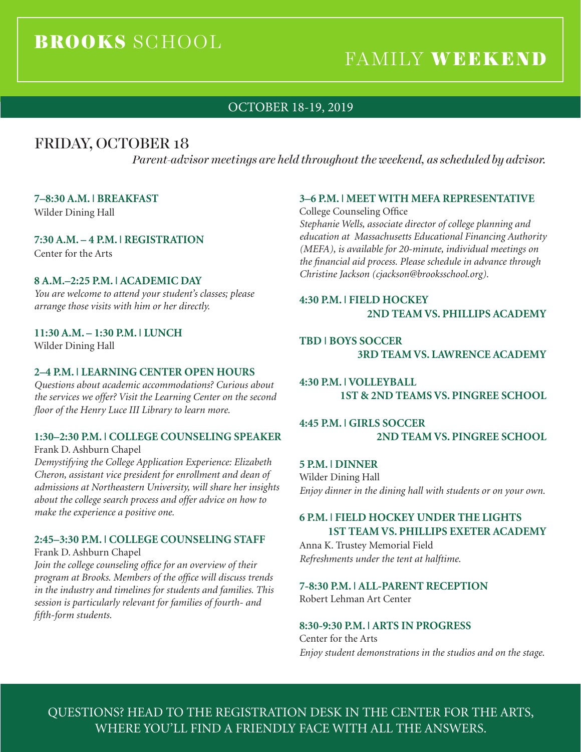# BROOKS SCHOOL

# FAMILY WEEKEND

# OCTOBER 18-19, 2019

# FRIDAY, OCTOBER 18

*Parent-advisor meetings are held throughout the weekend, as scheduled by advisor.*

### **7–8:30 A.M. | BREAKFAST**

Wilder Dining Hall

### **7:30 A.M. – 4 P.M. | REGISTRATION**

Center for the Arts

### **8 A.M.–2:25 P.M. | ACADEMIC DAY**

*You are welcome to attend your student's classes; please arrange those visits with him or her directly.*

### **11:30 A.M. – 1:30 P.M. | LUNCH**

Wilder Dining Hall

### **2–4 P.M. | LEARNING CENTER OPEN HOURS**

*Questions about academic accommodations? Curious about the services we offer? Visit the Learning Center on the second floor of the Henry Luce III Library to learn more.*

### **1:30–2:30 P.M. | COLLEGE COUNSELING SPEAKER**

Frank D. Ashburn Chapel

*Demystifying the College Application Experience: Elizabeth Cheron, assistant vice president for enrollment and dean of admissions at Northeastern University, will share her insights about the college search process and offer advice on how to make the experience a positive one.* 

### **2:45–3:30 P.M. | COLLEGE COUNSELING STAFF**

Frank D. Ashburn Chapel

*Join the college counseling office for an overview of their program at Brooks. Members of the office will discuss trends in the industry and timelines for students and families. This session is particularly relevant for families of fourth- and fifth-form students.* 

### **3–6 P.M. | MEET WITH MEFA REPRESENTATIVE**

College Counseling Office *Stephanie Wells, associate director of college planning and education at Massachusetts Educational Financing Authority (MEFA), is available for 20-minute, individual meetings on the financial aid process. Please schedule in advance through Christine Jackson (cjackson@brooksschool.org).* 

### **4:30 P.M. | FIELD HOCKEY 2ND TEAM VS. PHILLIPS ACADEMY**

**TBD | BOYS SOCCER 3RD TEAM VS. LAWRENCE ACADEMY**

**4:30 P.M. | VOLLEYBALL 1ST & 2ND TEAMS VS. PINGREE SCHOOL**

# **4:45 P.M. | GIRLS SOCCER 2ND TEAM VS. PINGREE SCHOOL**

**5 P.M. | DINNER** Wilder Dining Hall *Enjoy dinner in the dining hall with students or on your own.* 

# **6 P.M. | FIELD HOCKEY UNDER THE LIGHTS 1ST TEAM VS. PHILLIPS EXETER ACADEMY**

Anna K. Trustey Memorial Field *Refreshments under the tent at halftime.*

# **7-8:30 P.M. | ALL-PARENT RECEPTION**

Robert Lehman Art Center

#### **8:30-9:30 P.M. | ARTS IN PROGRESS**

Center for the Arts *Enjoy student demonstrations in the studios and on the stage.* 

QUESTIONS? HEAD TO THE REGISTRATION DESK IN THE CENTER FOR THE ARTS, WHERE YOU'LL FIND A FRIENDLY FACE WITH ALL THE ANSWERS.